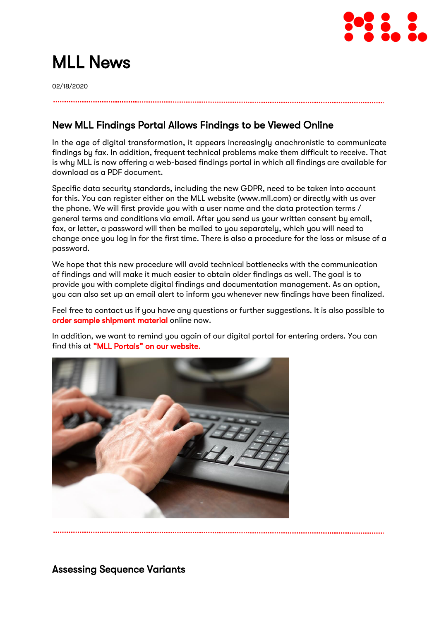

# MLL News

02/18/2020

## New MLL Findings Portal Allows Findings to be Viewed Online

In the age of digital transformation, it appears increasingly anachronistic to communicate findings by fax. In addition, frequent technical problems make them difficult to receive. That is why MLL is now offering a web-based findings portal in which all findings are available for download as a PDF document.

Specific data security standards, including the new GDPR, need to be taken into account for this. You can register either on the MLL website (www.mll.com) or directly with us over the phone. We will first provide you with a user name and the data protection terms / general terms and conditions via email. After you send us your written consent by email, fax, or letter, a password will then be mailed to you separately, which you will need to change once you log in for the first time. There is also a procedure for the loss or misuse of a password.

We hope that this new procedure will avoid technical bottlenecks with the communication of findings and will make it much easier to obtain older findings as well. The goal is to provide you with complete digital findings and documentation management. As an option, you can also set up an email alert to inform you whenever new findings have been finalized.

Feel free to contact us if you have any questions or further suggestions. It is also possible to [order sample shipment material](http://www.mll.com/bestellung-versandmaterial) online now.

In addition, we want to remind you again of our digital portal for entering orders. You can find this at ["MLL Portals" on our websit](http://www.mll.com/)e.



Assessing Sequence Variants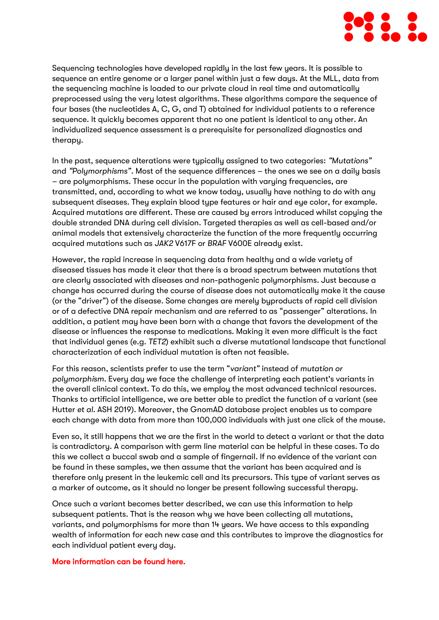

Sequencing technologies have developed rapidly in the last few years. It is possible to sequence an entire genome or a larger panel within just a few days. At the MLL, data from the sequencing machine is loaded to our private cloud in real time and automatically preprocessed using the very latest algorithms. These algorithms compare the sequence of four bases (the nucleotides A, C, G, and T) obtained for individual patients to a reference sequence. It quickly becomes apparent that no one patient is identical to any other. An individualized sequence assessment is a prerequisite for personalized diagnostics and therapy.

In the past, sequence alterations were typically assigned to two categories: *"Mutations"* and *"Polymorphisms"*. Most of the sequence differences – the ones we see on a daily basis – are polymorphisms. These occur in the population with varying frequencies, are transmitted, and, according to what we know today, usually have nothing to do with any subsequent diseases. They explain blood type features or hair and eye color, for example. Acquired mutations are different. These are caused by errors introduced whilst copying the double stranded DNA during cell division. Targeted therapies as well as cell-based and/or animal models that extensively characterize the function of the more frequently occurring acquired mutations such as *JAK2* V617F or *BRAF* V600E already exist.

However, the rapid increase in sequencing data from healthy and a wide variety of diseased tissues has made it clear that there is a broad spectrum between mutations that are clearly associated with diseases and non-pathogenic polymorphisms. Just because a change has occurred during the course of disease does not automatically make it the cause (or the "driver") of the disease. Some changes are merely byproducts of rapid cell division or of a defective DNA repair mechanism and are referred to as "passenger" alterations. In addition, a patient may have been born with a change that favors the development of the disease or influences the response to medications. Making it even more difficult is the fact that individual genes (e.g. *TET2*) exhibit such a diverse mutational landscape that functional characterization of each individual mutation is often not feasible.

For this reason, scientists prefer to use the term "*variant"* instead of *mutation or polymorphism.* Every day we face the challenge of interpreting each patient's variants in the overall clinical context. To do this, we employ the most advanced technical resources. Thanks to artificial intelligence, we are better able to predict the function of a variant (see Hutter *et al.* ASH 2019). Moreover, the GnomAD database project enables us to compare each change with data from more than 100,000 individuals with just one click of the mouse.

Even so, it still happens that we are the first in the world to detect a variant or that the data is contradictory. A comparison with germ line material can be helpful in these cases. To do this we collect a buccal swab and a sample of fingernail. If no evidence of the variant can be found in these samples, we then assume that the variant has been acquired and is therefore only present in the leukemic cell and its precursors. This type of variant serves as a marker of outcome, as it should no longer be present following successful therapy.

Once such a variant becomes better described, we can use this information to help subsequent patients. That is the reason why we have been collecting all mutations, variants, and polymorphisms for more than 14 years. We have access to this expanding wealth of information for each new case and this contributes to improve the diagnostics for each individual patient every day.

#### [More information can be found here.](http://www.haematologica.org/content/early/2019/05/13/haematol.2019.218917.full.pdf+html)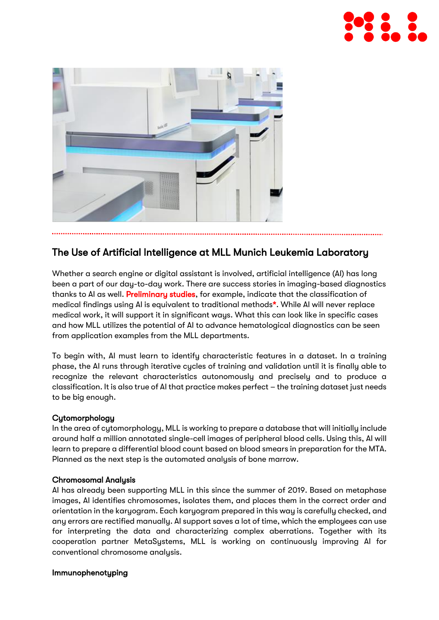



## The Use of Artificial Intelligence at MLL Munich Leukemia Laboratory

Whether a search engine or digital assistant is involved, artificial intelligence (AI) has long been a part of our day-to-day work. There are success stories in imaging-based diagnostics thanks to AI as well. [Preliminary studies,](https://www.thelancet.com/journals/landig/article/PIIS2589-7500(19)30123-2/fulltext) for example, indicate that the classification of medical findings using AI is equivalent to traditional methods\*. While AI will never replace medical work, it will support it in significant ways. What this can look like in specific cases and how MLL utilizes the potential of AI to advance hematological diagnostics can be seen from application examples from the MLL departments.

To begin with, AI must learn to identify characteristic features in a dataset. In a training phase, the AI runs through iterative cycles of training and validation until it is finally able to recognize the relevant characteristics autonomously and precisely and to produce a classification. It is also true of AI that practice makes perfect – the training dataset just needs to be big enough.

#### **Cytomorphology**

In the area of cytomorphology, MLL is working to prepare a database that will initially include around half a million annotated single-cell images of peripheral blood cells. Using this, AI will learn to prepare a differential blood count based on blood smears in preparation for the MTA. Planned as the next step is the automated analysis of bone marrow.

#### Chromosomal Analysis

AI has already been supporting MLL in this since the summer of 2019. Based on metaphase images, AI identifies chromosomes, isolates them, and places them in the correct order and orientation in the karyogram. Each karyogram prepared in this way is carefully checked, and any errors are rectified manually. AI support saves a lot of time, which the employees can use for interpreting the data and characterizing complex aberrations. Together with its cooperation partner MetaSystems, MLL is working on continuously improving AI for conventional chromosome analysis.

#### Immunophenotyping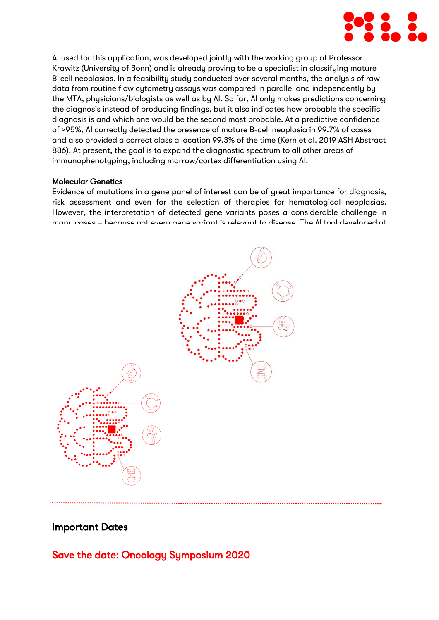

AI used for this application, was developed jointly with the working group of Professor Krawitz (University of Bonn) and is already proving to be a specialist in classifying mature B-cell neoplasias. In a feasibility study conducted over several months, the analysis of raw data from routine flow cytometry assays was compared in parallel and independently by the MTA, physicians/biologists as well as by AI. So far, AI only makes predictions concerning the diagnosis instead of producing findings, but it also indicates how probable the specific diagnosis is and which one would be the second most probable. At a predictive confidence of >95%, AI correctly detected the presence of mature B-cell neoplasia in 99.7% of cases and also provided a correct class allocation 99.3% of the time (Kern et al. 2019 ASH Abstract 886). At present, the goal is to expand the diagnostic spectrum to all other areas of immunophenotyping, including marrow/cortex differentiation using AI.

#### Molecular Genetics

Evidence of mutations in a gene panel of interest can be of great importance for diagnosis, risk assessment and even for the selection of therapies for hematological neoplasias. However, the interpretation of detected gene variants poses a considerable challenge in many cases – because not every gene variant is relevant to disease. The AI tool developed at



### Important Dates

Save the date: Oncology Symposium 2020